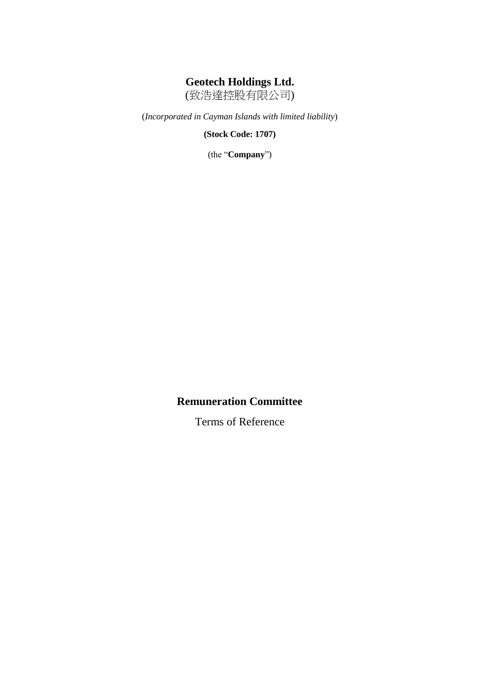# **Geotech Holdings Ltd.**

(致浩達控股有限公司)

(*Incorporated in Cayman Islands with limited liability*)

**(Stock Code: 1707)**

(the "**Company**")

## **Remuneration Committee**

Terms of Reference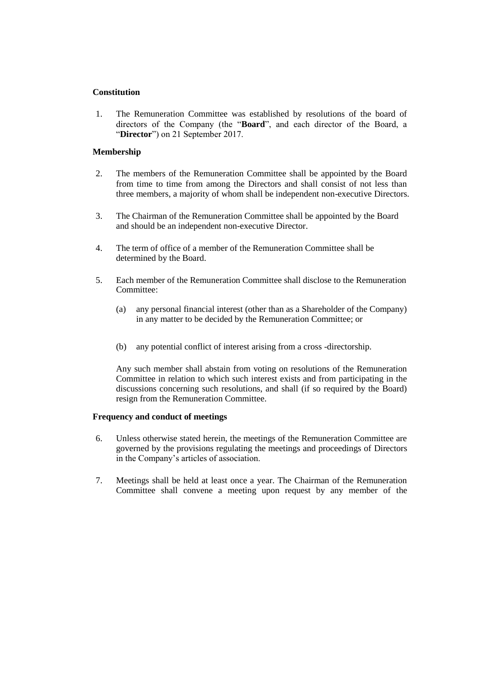## **Constitution**

1. The Remuneration Committee was established by resolutions of the board of directors of the Company (the "**Board**", and each director of the Board, a "**Director**") on 21 September 2017.

#### **Membership**

- 2. The members of the Remuneration Committee shall be appointed by the Board from time to time from among the Directors and shall consist of not less than three members, a majority of whom shall be independent non-executive Directors.
- 3. The Chairman of the Remuneration Committee shall be appointed by the Board and should be an independent non-executive Director.
- 4. The term of office of a member of the Remuneration Committee shall be determined by the Board.
- 5. Each member of the Remuneration Committee shall disclose to the Remuneration Committee<sup>.</sup>
	- (a) any personal financial interest (other than as a Shareholder of the Company) in any matter to be decided by the Remuneration Committee; or
	- (b) any potential conflict of interest arising from a cross -directorship.

Any such member shall abstain from voting on resolutions of the Remuneration Committee in relation to which such interest exists and from participating in the discussions concerning such resolutions, and shall (if so required by the Board) resign from the Remuneration Committee.

#### **Frequency and conduct of meetings**

- 6. Unless otherwise stated herein, the meetings of the Remuneration Committee are governed by the provisions regulating the meetings and proceedings of Directors in the Company's articles of association.
- 7. Meetings shall be held at least once a year. The Chairman of the Remuneration Committee shall convene a meeting upon request by any member of the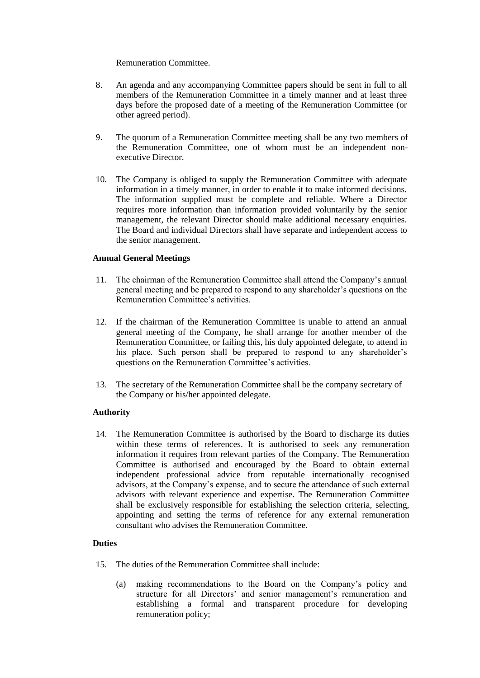## Remuneration Committee.

- 8. An agenda and any accompanying Committee papers should be sent in full to all members of the Remuneration Committee in a timely manner and at least three days before the proposed date of a meeting of the Remuneration Committee (or other agreed period).
- 9. The quorum of a Remuneration Committee meeting shall be any two members of the Remuneration Committee, one of whom must be an independent nonexecutive Director.
- 10. The Company is obliged to supply the Remuneration Committee with adequate information in a timely manner, in order to enable it to make informed decisions. The information supplied must be complete and reliable. Where a Director requires more information than information provided voluntarily by the senior management, the relevant Director should make additional necessary enquiries. The Board and individual Directors shall have separate and independent access to the senior management.

## **Annual General Meetings**

- 11. The chairman of the Remuneration Committee shall attend the Company's annual general meeting and be prepared to respond to any shareholder's questions on the Remuneration Committee's activities.
- 12. If the chairman of the Remuneration Committee is unable to attend an annual general meeting of the Company, he shall arrange for another member of the Remuneration Committee, or failing this, his duly appointed delegate, to attend in his place. Such person shall be prepared to respond to any shareholder's questions on the Remuneration Committee's activities.
- 13. The secretary of the Remuneration Committee shall be the company secretary of the Company or his/her appointed delegate.

## **Authority**

14. The Remuneration Committee is authorised by the Board to discharge its duties within these terms of references. It is authorised to seek any remuneration information it requires from relevant parties of the Company. The Remuneration Committee is authorised and encouraged by the Board to obtain external independent professional advice from reputable internationally recognised advisors, at the Company's expense, and to secure the attendance of such external advisors with relevant experience and expertise. The Remuneration Committee shall be exclusively responsible for establishing the selection criteria, selecting, appointing and setting the terms of reference for any external remuneration consultant who advises the Remuneration Committee.

## **Duties**

- 15. The duties of the Remuneration Committee shall include:
	- (a) making recommendations to the Board on the Company's policy and structure for all Directors' and senior management's remuneration and establishing a formal and transparent procedure for developing remuneration policy;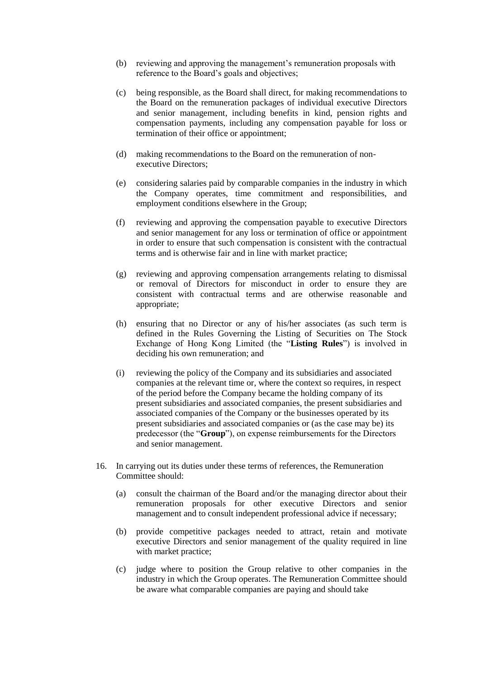- (b) reviewing and approving the management's remuneration proposals with reference to the Board's goals and objectives;
- (c) being responsible, as the Board shall direct, for making recommendations to the Board on the remuneration packages of individual executive Directors and senior management, including benefits in kind, pension rights and compensation payments, including any compensation payable for loss or termination of their office or appointment;
- (d) making recommendations to the Board on the remuneration of nonexecutive Directors;
- (e) considering salaries paid by comparable companies in the industry in which the Company operates, time commitment and responsibilities, and employment conditions elsewhere in the Group;
- (f) reviewing and approving the compensation payable to executive Directors and senior management for any loss or termination of office or appointment in order to ensure that such compensation is consistent with the contractual terms and is otherwise fair and in line with market practice;
- (g) reviewing and approving compensation arrangements relating to dismissal or removal of Directors for misconduct in order to ensure they are consistent with contractual terms and are otherwise reasonable and appropriate;
- (h) ensuring that no Director or any of his/her associates (as such term is defined in the Rules Governing the Listing of Securities on The Stock Exchange of Hong Kong Limited (the "**Listing Rules**") is involved in deciding his own remuneration; and
- (i) reviewing the policy of the Company and its subsidiaries and associated companies at the relevant time or, where the context so requires, in respect of the period before the Company became the holding company of its present subsidiaries and associated companies, the present subsidiaries and associated companies of the Company or the businesses operated by its present subsidiaries and associated companies or (as the case may be) its predecessor (the "**Group**"), on expense reimbursements for the Directors and senior management.
- 16. In carrying out its duties under these terms of references, the Remuneration Committee should:
	- (a) consult the chairman of the Board and/or the managing director about their remuneration proposals for other executive Directors and senior management and to consult independent professional advice if necessary;
	- (b) provide competitive packages needed to attract, retain and motivate executive Directors and senior management of the quality required in line with market practice;
	- (c) judge where to position the Group relative to other companies in the industry in which the Group operates. The Remuneration Committee should be aware what comparable companies are paying and should take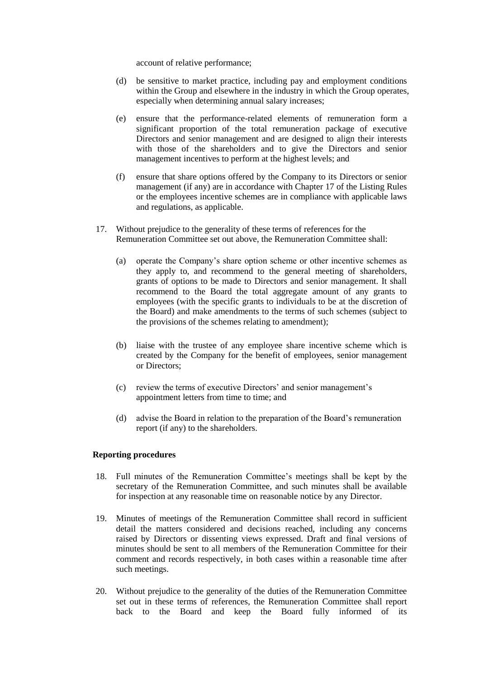account of relative performance;

- (d) be sensitive to market practice, including pay and employment conditions within the Group and elsewhere in the industry in which the Group operates, especially when determining annual salary increases;
- (e) ensure that the performance-related elements of remuneration form a significant proportion of the total remuneration package of executive Directors and senior management and are designed to align their interests with those of the shareholders and to give the Directors and senior management incentives to perform at the highest levels; and
- (f) ensure that share options offered by the Company to its Directors or senior management (if any) are in accordance with Chapter 17 of the Listing Rules or the employees incentive schemes are in compliance with applicable laws and regulations, as applicable.
- 17. Without prejudice to the generality of these terms of references for the Remuneration Committee set out above, the Remuneration Committee shall:
	- (a) operate the Company's share option scheme or other incentive schemes as they apply to, and recommend to the general meeting of shareholders, grants of options to be made to Directors and senior management. It shall recommend to the Board the total aggregate amount of any grants to employees (with the specific grants to individuals to be at the discretion of the Board) and make amendments to the terms of such schemes (subject to the provisions of the schemes relating to amendment);
	- (b) liaise with the trustee of any employee share incentive scheme which is created by the Company for the benefit of employees, senior management or Directors;
	- (c) review the terms of executive Directors' and senior management's appointment letters from time to time; and
	- (d) advise the Board in relation to the preparation of the Board's remuneration report (if any) to the shareholders.

#### **Reporting procedures**

- 18. Full minutes of the Remuneration Committee's meetings shall be kept by the secretary of the Remuneration Committee, and such minutes shall be available for inspection at any reasonable time on reasonable notice by any Director.
- 19. Minutes of meetings of the Remuneration Committee shall record in sufficient detail the matters considered and decisions reached, including any concerns raised by Directors or dissenting views expressed. Draft and final versions of minutes should be sent to all members of the Remuneration Committee for their comment and records respectively, in both cases within a reasonable time after such meetings.
- 20. Without prejudice to the generality of the duties of the Remuneration Committee set out in these terms of references, the Remuneration Committee shall report back to the Board and keep the Board fully informed of its